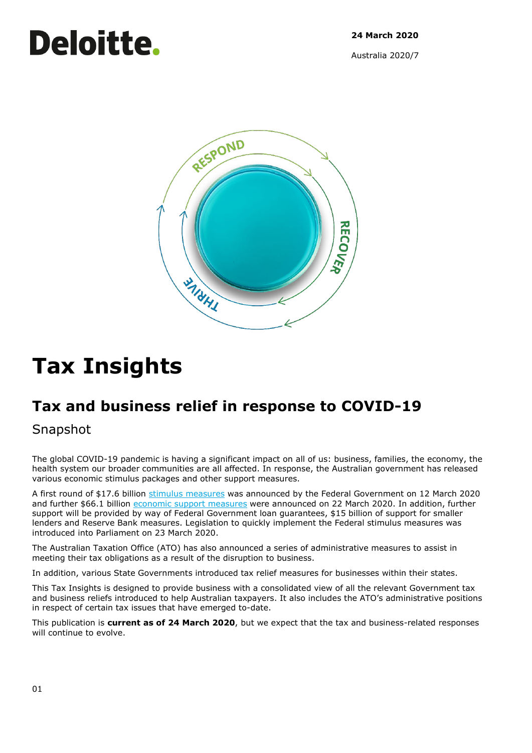# Deloitte.

**24 March 2020**

Australia 2020/7



# **Tax Insights**

## **Tax and business relief in response to COVID-19**

Snapshot

The global COVID-19 pandemic is having a significant impact on all of us: business, families, the economy, the health system our broader communities are all affected. In response, the Australian government has released various economic stimulus packages and other support measures.

A first round of \$17.6 billion [stimulus measures](https://www.pm.gov.au/media/economic-stimulus-package) was announced by the Federal Government on 12 March 2020 and further \$66.1 billion [economic support](https://treasury.gov.au/sites/default/files/2020-03/Overview-Economic_Response_to_the_Coronavirus_0.pdf) measures were announced on 22 March 2020. In addition, further support will be provided by way of Federal Government loan guarantees, \$15 billion of support for smaller lenders and Reserve Bank measures. Legislation to quickly implement the Federal stimulus measures was introduced into Parliament on 23 March 2020.

The Australian Taxation Office (ATO) has also announced a series of administrative measures to assist in meeting their tax obligations as a result of the disruption to business.

In addition, various State Governments introduced tax relief measures for businesses within their states.

This Tax Insights is designed to provide business with a consolidated view of all the relevant Government tax and business reliefs introduced to help Australian taxpayers. It also includes the ATO's administrative positions in respect of certain tax issues that have emerged to-date.

This publication is **current as of 24 March 2020**, but we expect that the tax and business-related responses will continue to evolve.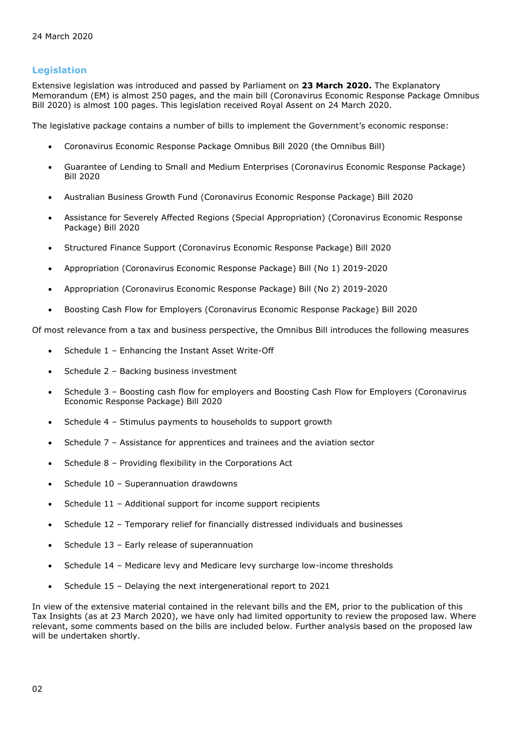#### **Legislation**

Extensive legislation was introduced and passed by Parliament on **23 March 2020.** The Explanatory Memorandum (EM) is almost 250 pages, and the main bill (Coronavirus Economic Response Package Omnibus Bill 2020) is almost 100 pages. This legislation received Royal Assent on 24 March 2020.

The legislative package contains a number of bills to implement the Government's economic response:

- Coronavirus Economic Response Package Omnibus Bill 2020 (the Omnibus Bill)
- Guarantee of Lending to Small and Medium Enterprises (Coronavirus Economic Response Package) Bill 2020
- Australian Business Growth Fund (Coronavirus Economic Response Package) Bill 2020
- Assistance for Severely Affected Regions (Special Appropriation) (Coronavirus Economic Response Package) Bill 2020
- Structured Finance Support (Coronavirus Economic Response Package) Bill 2020
- Appropriation (Coronavirus Economic Response Package) Bill (No 1) 2019-2020
- Appropriation (Coronavirus Economic Response Package) Bill (No 2) 2019-2020
- Boosting Cash Flow for Employers (Coronavirus Economic Response Package) Bill 2020

Of most relevance from a tax and business perspective, the Omnibus Bill introduces the following measures

- Schedule 1 Enhancing the Instant Asset Write-Off
- Schedule 2 Backing business investment
- Schedule 3 Boosting cash flow for employers and Boosting Cash Flow for Employers (Coronavirus Economic Response Package) Bill 2020
- Schedule 4 Stimulus payments to households to support growth
- Schedule 7 Assistance for apprentices and trainees and the aviation sector
- Schedule 8 Providing flexibility in the Corporations Act
- Schedule 10 Superannuation drawdowns
- Schedule 11 Additional support for income support recipients
- Schedule 12 Temporary relief for financially distressed individuals and businesses
- Schedule 13 Early release of superannuation
- Schedule 14 Medicare levy and Medicare levy surcharge low-income thresholds
- Schedule 15 Delaying the next intergenerational report to 2021

In view of the extensive material contained in the relevant bills and the EM, prior to the publication of this Tax Insights (as at 23 March 2020), we have only had limited opportunity to review the proposed law. Where relevant, some comments based on the bills are included below. Further analysis based on the proposed law will be undertaken shortly.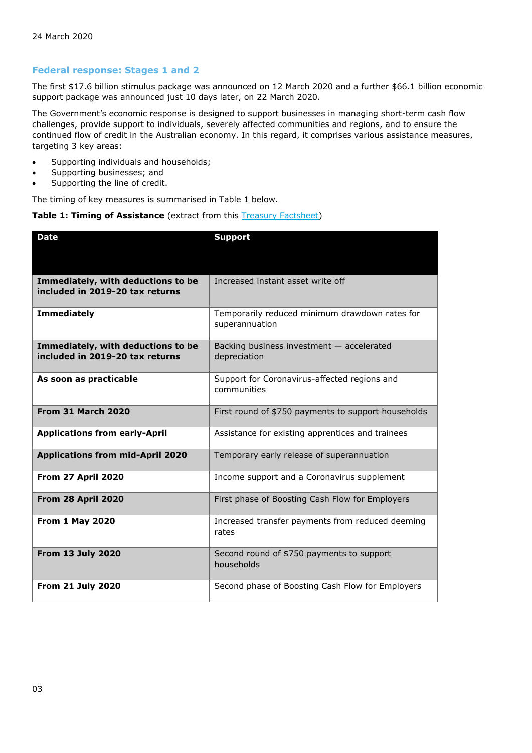### **Federal response: Stages 1 and 2**

The first \$17.6 billion stimulus package was announced on 12 March 2020 and a further \$66.1 billion economic support package was announced just 10 days later, on 22 March 2020.

The Government's economic response is designed to support businesses in managing short-term cash flow challenges, provide support to individuals, severely affected communities and regions, and to ensure the continued flow of credit in the Australian economy. In this regard, it comprises various assistance measures, targeting 3 key areas:

- Supporting individuals and households;
- Supporting businesses; and
- Supporting the line of credit.

The timing of key measures is summarised in Table 1 below.

#### **Table 1: Timing of Assistance** (extract from this **Treasury Factsheet**)

| <b>Date</b>                                                           | <b>Support</b>                                                   |  |  |  |  |
|-----------------------------------------------------------------------|------------------------------------------------------------------|--|--|--|--|
|                                                                       |                                                                  |  |  |  |  |
| Immediately, with deductions to be<br>included in 2019-20 tax returns | Increased instant asset write off                                |  |  |  |  |
| <b>Immediately</b>                                                    | Temporarily reduced minimum drawdown rates for<br>superannuation |  |  |  |  |
| Immediately, with deductions to be<br>included in 2019-20 tax returns | Backing business investment - accelerated<br>depreciation        |  |  |  |  |
| As soon as practicable                                                | Support for Coronavirus-affected regions and<br>communities      |  |  |  |  |
| <b>From 31 March 2020</b>                                             | First round of \$750 payments to support households              |  |  |  |  |
| <b>Applications from early-April</b>                                  | Assistance for existing apprentices and trainees                 |  |  |  |  |
| <b>Applications from mid-April 2020</b>                               | Temporary early release of superannuation                        |  |  |  |  |
| From 27 April 2020                                                    | Income support and a Coronavirus supplement                      |  |  |  |  |
| From 28 April 2020                                                    | First phase of Boosting Cash Flow for Employers                  |  |  |  |  |
| <b>From 1 May 2020</b>                                                | Increased transfer payments from reduced deeming<br>rates        |  |  |  |  |
| <b>From 13 July 2020</b>                                              | Second round of \$750 payments to support<br>households          |  |  |  |  |
| <b>From 21 July 2020</b>                                              | Second phase of Boosting Cash Flow for Employers                 |  |  |  |  |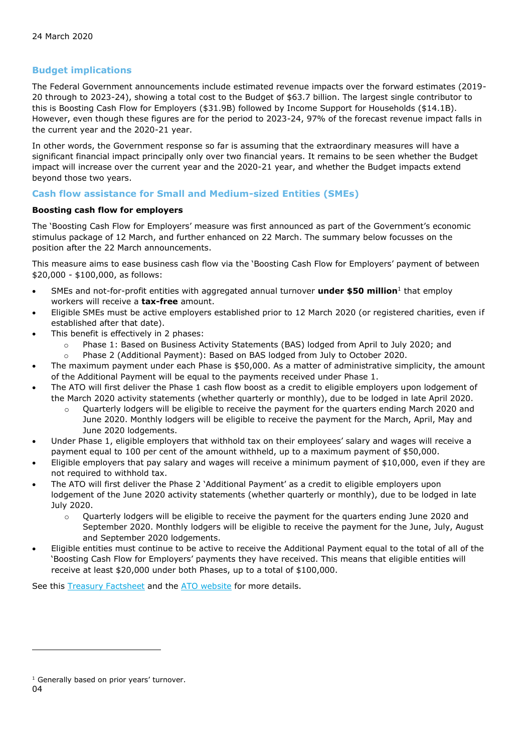### **Budget implications**

The Federal Government announcements include estimated revenue impacts over the forward estimates (2019- 20 through to 2023-24), showing a total cost to the Budget of \$63.7 billion. The largest single contributor to this is Boosting Cash Flow for Employers (\$31.9B) followed by Income Support for Households (\$14.1B). However, even though these figures are for the period to 2023-24, 97% of the forecast revenue impact falls in the current year and the 2020-21 year.

In other words, the Government response so far is assuming that the extraordinary measures will have a significant financial impact principally only over two financial years. It remains to be seen whether the Budget impact will increase over the current year and the 2020-21 year, and whether the Budget impacts extend beyond those two years.

### **Cash flow assistance for Small and Medium-sized Entities (SMEs)**

#### **Boosting cash flow for employers**

The 'Boosting Cash Flow for Employers' measure was first announced as part of the Government's economic stimulus package of 12 March, and further enhanced on 22 March. The summary below focusses on the position after the 22 March announcements.

This measure aims to ease business cash flow via the 'Boosting Cash Flow for Employers' payment of between \$20,000 - \$100,000, as follows:

- SMEs and not-for-profit entities with aggregated annual turnover **under \$50 million**<sup>1</sup> that employ workers will receive a **tax-free** amount.
- Eligible SMEs must be active employers established prior to 12 March 2020 (or registered charities, even if established after that date).
- This benefit is effectively in 2 phases:
	- o Phase 1: Based on Business Activity Statements (BAS) lodged from April to July 2020; and
	- o Phase 2 (Additional Payment): Based on BAS lodged from July to October 2020.
- The maximum payment under each Phase is \$50,000. As a matter of administrative simplicity, the amount of the Additional Payment will be equal to the payments received under Phase 1.
- The ATO will first deliver the Phase 1 cash flow boost as a credit to eligible employers upon lodgement of the March 2020 activity statements (whether quarterly or monthly), due to be lodged in late April 2020.
	- o Quarterly lodgers will be eligible to receive the payment for the quarters ending March 2020 and June 2020. Monthly lodgers will be eligible to receive the payment for the March, April, May and June 2020 lodgements.
- Under Phase 1, eligible employers that withhold tax on their employees' salary and wages will receive a payment equal to 100 per cent of the amount withheld, up to a maximum payment of \$50,000.
- Eligible employers that pay salary and wages will receive a minimum payment of \$10,000, even if they are not required to withhold tax.
- The ATO will first deliver the Phase 2 'Additional Payment' as a credit to eligible employers upon lodgement of the June 2020 activity statements (whether quarterly or monthly), due to be lodged in late July 2020.
	- $\circ$  Ouarterly lodgers will be eligible to receive the payment for the quarters ending June 2020 and September 2020. Monthly lodgers will be eligible to receive the payment for the June, July, August and September 2020 lodgements.
- Eligible entities must continue to be active to receive the Additional Payment equal to the total of all of the 'Boosting Cash Flow for Employers' payments they have received. This means that eligible entities will receive at least \$20,000 under both Phases, up to a total of \$100,000.

See this **Treasury Factsheet** and the **ATO** website for more details.

<sup>&</sup>lt;sup>1</sup> Generally based on prior years' turnover.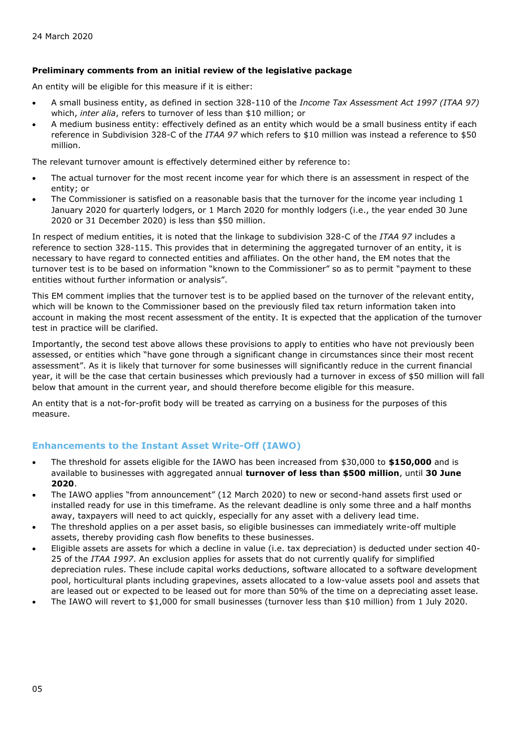#### **Preliminary comments from an initial review of the legislative package**

An entity will be eligible for this measure if it is either:

- A small business entity, as defined in section 328-110 of the *Income Tax Assessment Act 1997 (ITAA 97)* which, *inter alia*, refers to turnover of less than \$10 million; or
- A medium business entity: effectively defined as an entity which would be a small business entity if each reference in Subdivision 328-C of the *ITAA 97* which refers to \$10 million was instead a reference to \$50 million.

The relevant turnover amount is effectively determined either by reference to:

- The actual turnover for the most recent income year for which there is an assessment in respect of the entity; or
- The Commissioner is satisfied on a reasonable basis that the turnover for the income year including 1 January 2020 for quarterly lodgers, or 1 March 2020 for monthly lodgers (i.e., the year ended 30 June 2020 or 31 December 2020) is less than \$50 million.

In respect of medium entities, it is noted that the linkage to subdivision 328-C of the *ITAA 97* includes a reference to section 328-115. This provides that in determining the aggregated turnover of an entity, it is necessary to have regard to connected entities and affiliates. On the other hand, the EM notes that the turnover test is to be based on information "known to the Commissioner" so as to permit "payment to these entities without further information or analysis".

This EM comment implies that the turnover test is to be applied based on the turnover of the relevant entity, which will be known to the Commissioner based on the previously filed tax return information taken into account in making the most recent assessment of the entity. It is expected that the application of the turnover test in practice will be clarified.

Importantly, the second test above allows these provisions to apply to entities who have not previously been assessed, or entities which "have gone through a significant change in circumstances since their most recent assessment". As it is likely that turnover for some businesses will significantly reduce in the current financial year, it will be the case that certain businesses which previously had a turnover in excess of \$50 million will fall below that amount in the current year, and should therefore become eligible for this measure.

An entity that is a not-for-profit body will be treated as carrying on a business for the purposes of this measure.

#### **Enhancements to the Instant Asset Write-Off (IAWO)**

- The threshold for assets eligible for the IAWO has been increased from \$30,000 to **\$150,000** and is available to businesses with aggregated annual **turnover of less than \$500 million**, until **30 June 2020**.
- The IAWO applies "from announcement" (12 March 2020) to new or second-hand assets first used or installed ready for use in this timeframe. As the relevant deadline is only some three and a half months away, taxpayers will need to act quickly, especially for any asset with a delivery lead time.
- The threshold applies on a per asset basis, so eligible businesses can immediately write-off multiple assets, thereby providing cash flow benefits to these businesses.
- Eligible assets are assets for which a decline in value (i.e. tax depreciation) is deducted under section 40- 25 of the *ITAA 1997*. An exclusion applies for assets that do not currently qualify for simplified depreciation rules. These include capital works deductions, software allocated to a software development pool, horticultural plants including grapevines, assets allocated to a low-value assets pool and assets that are leased out or expected to be leased out for more than 50% of the time on a depreciating asset lease.
- The IAWO will revert to \$1,000 for small businesses (turnover less than \$10 million) from 1 July 2020.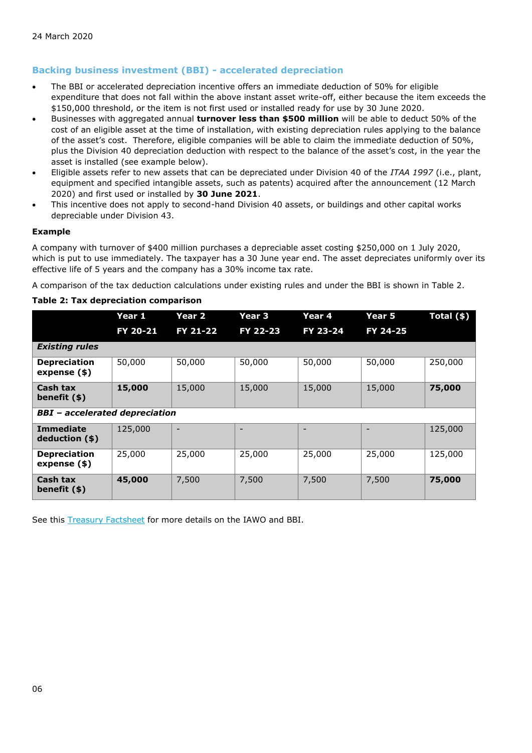### **Backing business investment (BBI) - accelerated depreciation**

- The BBI or accelerated depreciation incentive offers an immediate deduction of 50% for eligible expenditure that does not fall within the above instant asset write-off, either because the item exceeds the \$150,000 threshold, or the item is not first used or installed ready for use by 30 June 2020.
- Businesses with aggregated annual **turnover less than \$500 million** will be able to deduct 50% of the cost of an eligible asset at the time of installation, with existing depreciation rules applying to the balance of the asset's cost. Therefore, eligible companies will be able to claim the immediate deduction of 50%, plus the Division 40 depreciation deduction with respect to the balance of the asset's cost, in the year the asset is installed (see example below).
- Eligible assets refer to new assets that can be depreciated under Division 40 of the *ITAA 1997* (i.e., plant, equipment and specified intangible assets, such as patents) acquired after the announcement (12 March 2020) and first used or installed by **30 June 2021**.
- This incentive does not apply to second-hand Division 40 assets, or buildings and other capital works depreciable under Division 43.

#### **Example**

A company with turnover of \$400 million purchases a depreciable asset costing \$250,000 on 1 July 2020, which is put to use immediately. The taxpayer has a 30 June year end. The asset depreciates uniformly over its effective life of 5 years and the company has a 30% income tax rate.

A comparison of the tax deduction calculations under existing rules and under the BBI is shown in Table 2.

#### **Table 2: Tax depreciation comparison**

|                                       | Year 1   | Year 2   | Year 3   | Year 4   | Year 5   | Total $($ \$ $)$ |  |
|---------------------------------------|----------|----------|----------|----------|----------|------------------|--|
|                                       | FY 20-21 | FY 21-22 | FY 22-23 | FY 23-24 | FY 24-25 |                  |  |
| <b>Existing rules</b>                 |          |          |          |          |          |                  |  |
| <b>Depreciation</b><br>expense $(*)$  | 50,000   | 50,000   | 50,000   | 50,000   | 50,000   | 250,000          |  |
| Cash tax<br>benefit (\$)              | 15,000   | 15,000   | 15,000   | 15,000   | 15,000   | 75,000           |  |
| <b>BBI</b> - accelerated depreciation |          |          |          |          |          |                  |  |
| <b>Immediate</b><br>deduction (\$)    | 125,000  | -        |          |          |          | 125,000          |  |
| <b>Depreciation</b><br>expense (\$)   | 25,000   | 25,000   | 25,000   | 25,000   | 25,000   | 125,000          |  |
| Cash tax<br>benefit $(*)$             | 45,000   | 7,500    | 7,500    | 7,500    | 7,500    | 75,000           |  |

See this [Treasury Factsheet](https://treasury.gov.au/sites/default/files/2020-03/Fact_Sheet-Delivering_support_for_business_investment.pdf) for more details on the IAWO and BBI.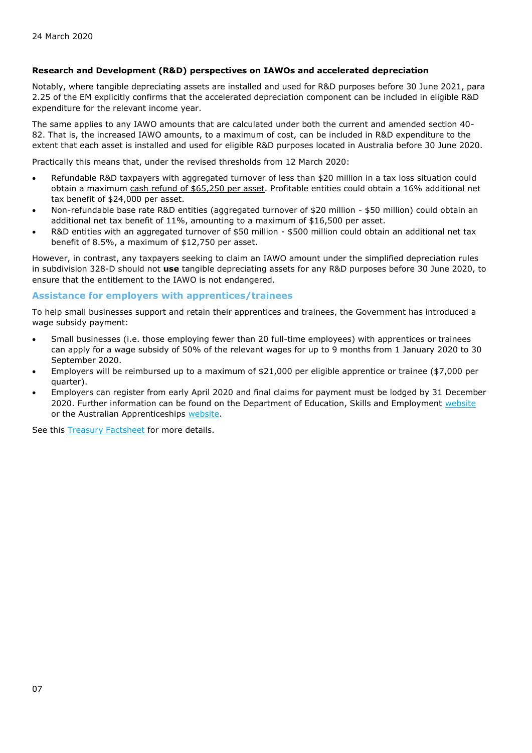#### **Research and Development (R&D) perspectives on IAWOs and accelerated depreciation**

Notably, where tangible depreciating assets are installed and used for R&D purposes before 30 June 2021, para 2.25 of the EM explicitly confirms that the accelerated depreciation component can be included in eligible R&D expenditure for the relevant income year.

The same applies to any IAWO amounts that are calculated under both the current and amended section 40- 82. That is, the increased IAWO amounts, to a maximum of cost, can be included in R&D expenditure to the extent that each asset is installed and used for eligible R&D purposes located in Australia before 30 June 2020.

Practically this means that, under the revised thresholds from 12 March 2020:

- Refundable R&D taxpayers with aggregated turnover of less than \$20 million in a tax loss situation could obtain a maximum cash refund of \$65,250 per asset. Profitable entities could obtain a 16% additional net tax benefit of \$24,000 per asset.
- Non-refundable base rate R&D entities (aggregated turnover of \$20 million \$50 million) could obtain an additional net tax benefit of 11%, amounting to a maximum of \$16,500 per asset.
- R&D entities with an aggregated turnover of \$50 million \$500 million could obtain an additional net tax benefit of 8.5%, a maximum of \$12,750 per asset.

However, in contrast, any taxpayers seeking to claim an IAWO amount under the simplified depreciation rules in subdivision 328-D should not **use** tangible depreciating assets for any R&D purposes before 30 June 2020, to ensure that the entitlement to the IAWO is not endangered.

#### **Assistance for employers with apprentices/trainees**

To help small businesses support and retain their apprentices and trainees, the Government has introduced a wage subsidy payment:

- Small businesses (i.e. those employing fewer than 20 full-time employees) with apprentices or trainees can apply for a wage subsidy of 50% of the relevant wages for up to 9 months from 1 January 2020 to 30 September 2020.
- Employers will be reimbursed up to a maximum of \$21,000 per eligible apprentice or trainee (\$7,000 per quarter).
- Employers can register from early April 2020 and final claims for payment must be lodged by 31 December 2020. Further information can be found on the Department of Education, Skills and Employment [website](https://www.employment.gov.au/) or the Australian Apprenticeships [website.](https://www.employment.gov.au/apprenticeships-and-traineeships)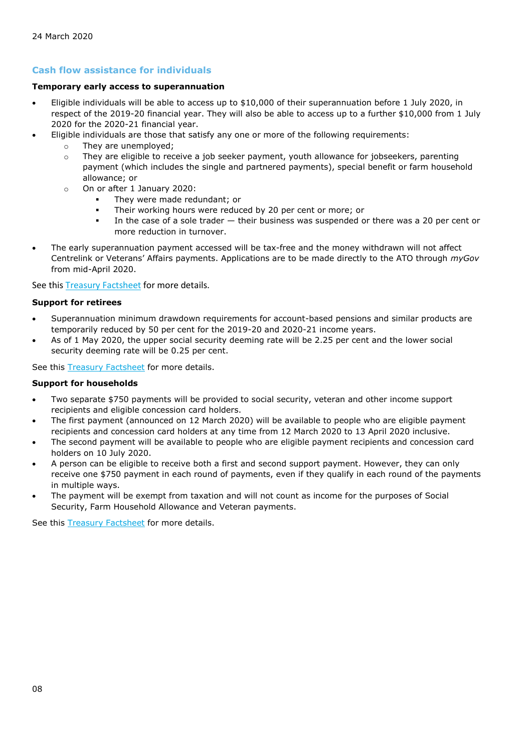### **Cash flow assistance for individuals**

#### **Temporary early access to superannuation**

- Eligible individuals will be able to access up to \$10,000 of their superannuation before 1 July 2020, in respect of the 2019-20 financial year. They will also be able to access up to a further \$10,000 from 1 July 2020 for the 2020-21 financial year.
- Eligible individuals are those that satisfy any one or more of the following requirements:
	- o They are unemployed;
	- $\circ$  They are eligible to receive a job seeker payment, youth allowance for jobseekers, parenting payment (which includes the single and partnered payments), special benefit or farm household allowance; or
	- o On or after 1 January 2020:
		- They were made redundant; or
		- Their working hours were reduced by 20 per cent or more; or
		- **.** In the case of a sole trader  $-$  their business was suspended or there was a 20 per cent or more reduction in turnover.
- The early superannuation payment accessed will be tax-free and the money withdrawn will not affect Centrelink or Veterans' Affairs payments. Applications are to be made directly to the ATO through *myGov*  from mid-April 2020.

See this **Treasury Factsheet** for more details.

#### **Support for retirees**

- Superannuation minimum drawdown requirements for account-based pensions and similar products are temporarily reduced by 50 per cent for the 2019-20 and 2020-21 income years.
- As of 1 May 2020, the upper social security deeming rate will be 2.25 per cent and the lower social security deeming rate will be 0.25 per cent.

See this **Treasury Factsheet** for more details.

#### **Support for households**

- Two separate \$750 payments will be provided to social security, veteran and other income support recipients and eligible concession card holders.
- The first payment (announced on 12 March 2020) will be available to people who are eligible payment recipients and concession card holders at any time from 12 March 2020 to 13 April 2020 inclusive.
- The second payment will be available to people who are eligible payment recipients and concession card holders on 10 July 2020.
- A person can be eligible to receive both a first and second support payment. However, they can only receive one \$750 payment in each round of payments, even if they qualify in each round of the payments in multiple ways.
- The payment will be exempt from taxation and will not count as income for the purposes of Social Security, Farm Household Allowance and Veteran payments.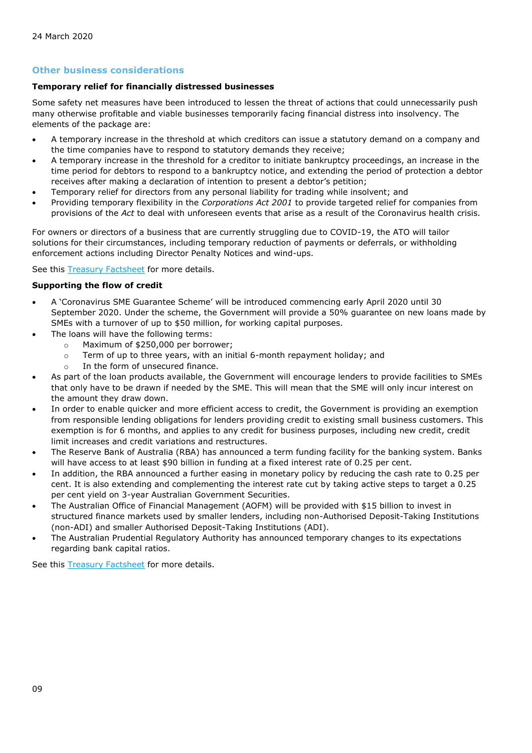#### **Other business considerations**

### **Temporary relief for financially distressed businesses**

Some safety net measures have been introduced to lessen the threat of actions that could unnecessarily push many otherwise profitable and viable businesses temporarily facing financial distress into insolvency. The elements of the package are:

- A temporary increase in the threshold at which creditors can issue a statutory demand on a company and the time companies have to respond to statutory demands they receive;
- A temporary increase in the threshold for a creditor to initiate bankruptcy proceedings, an increase in the time period for debtors to respond to a bankruptcy notice, and extending the period of protection a debtor receives after making a declaration of intention to present a debtor's petition;
- Temporary relief for directors from any personal liability for trading while insolvent; and
- Providing temporary flexibility in the *Corporations Act 2001* to provide targeted relief for companies from provisions of the *Act* to deal with unforeseen events that arise as a result of the Coronavirus health crisis.

For owners or directors of a business that are currently struggling due to COVID-19, the ATO will tailor solutions for their circumstances, including temporary reduction of payments or deferrals, or withholding enforcement actions including Director Penalty Notices and wind-ups.

See this [Treasury Factsheet](https://treasury.gov.au/sites/default/files/2020-03/Fact_sheet-Providing_temporary_relief_for_financially_distressed_businesses.pdf) for more details.

#### **Supporting the flow of credit**

- A 'Coronavirus SME Guarantee Scheme' will be introduced commencing early April 2020 until 30 September 2020. Under the scheme, the Government will provide a 50% guarantee on new loans made by SMEs with a turnover of up to \$50 million, for working capital purposes.
- The loans will have the following terms:
	- o Maximum of \$250,000 per borrower;
	- o Term of up to three years, with an initial 6-month repayment holiday; and
	- o In the form of unsecured finance.
- As part of the loan products available, the Government will encourage lenders to provide facilities to SMEs that only have to be drawn if needed by the SME. This will mean that the SME will only incur interest on the amount they draw down.
- In order to enable quicker and more efficient access to credit, the Government is providing an exemption from responsible lending obligations for lenders providing credit to existing small business customers. This exemption is for 6 months, and applies to any credit for business purposes, including new credit, credit limit increases and credit variations and restructures.
- The Reserve Bank of Australia (RBA) has announced a term funding facility for the banking system. Banks will have access to at least \$90 billion in funding at a fixed interest rate of 0.25 per cent.
- In addition, the RBA announced a further easing in monetary policy by reducing the cash rate to 0.25 per cent. It is also extending and complementing the interest rate cut by taking active steps to target a 0.25 per cent yield on 3-year Australian Government Securities.
- The Australian Office of Financial Management (AOFM) will be provided with \$15 billion to invest in structured finance markets used by smaller lenders, including non-Authorised Deposit-Taking Institutions (non-ADI) and smaller Authorised Deposit-Taking Institutions (ADI).
- The Australian Prudential Regulatory Authority has announced temporary changes to its expectations regarding bank capital ratios.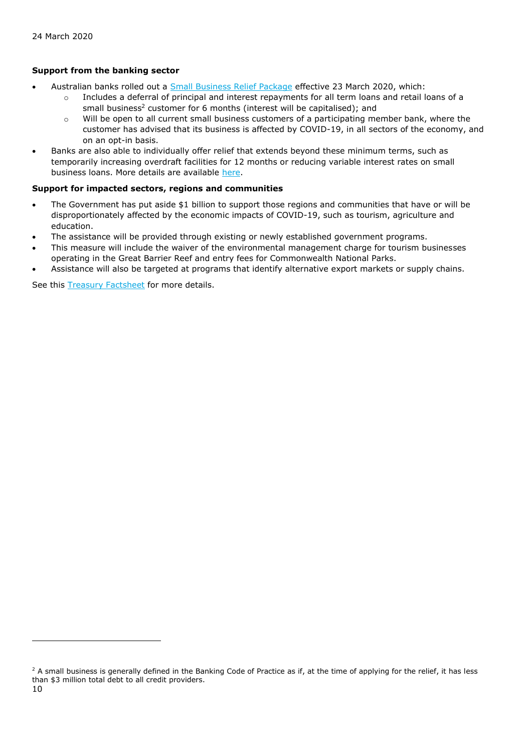### **Support from the banking sector**

- Australian banks rolled out a [Small Business Relief Package](https://www.ausbanking.org.au/banks-small-business-relief-package/) effective 23 March 2020, which:
	- o Includes a deferral of principal and interest repayments for all term loans and retail loans of a small business<sup>2</sup> customer for 6 months (interest will be capitalised); and
	- $\circ$  Will be open to all current small business customers of a participating member bank, where the customer has advised that its business is affected by COVID-19, in all sectors of the economy, and on an opt-in basis.
- Banks are also able to individually offer relief that extends beyond these minimum terms, such as temporarily increasing overdraft facilities for 12 months or reducing variable interest rates on small business loans. More details are available [here.](https://www.accc.gov.au/system/files/public-registers/documents/Interim%20Authorisation%20Decision%20-%2020.03.20%20-%20PR%20-%20AA1000475%20-%20ABA.pdf)

#### **Support for impacted sectors, regions and communities**

- The Government has put aside \$1 billion to support those regions and communities that have or will be disproportionately affected by the economic impacts of COVID-19, such as tourism, agriculture and education.
- The assistance will be provided through existing or newly established government programs.
- This measure will include the waiver of the environmental management charge for tourism businesses operating in the Great Barrier Reef and entry fees for Commonwealth National Parks.
- Assistance will also be targeted at programs that identify alternative export markets or supply chains.

<sup>&</sup>lt;sup>2</sup> A small business is generally defined in the Banking Code of Practice as if, at the time of applying for the relief, it has less than \$3 million total debt to all credit providers.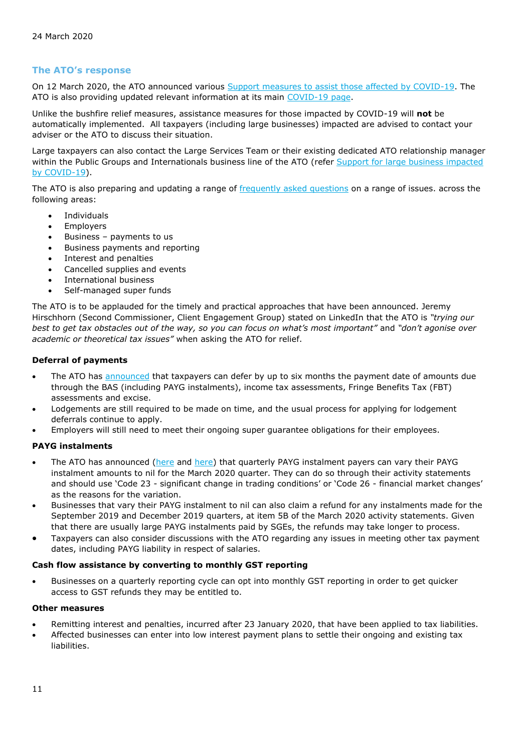#### **The ATO's response**

On 12 March 2020, the ATO announced various [Support measures to assist those affected by COVID-19.](https://www.ato.gov.au/Media-centre/Media-releases/Support-measures-to-assist-those-affected-by-COVID-19/) The ATO is also providing updated relevant information at its main [COVID-19 page.](https://www.ato.gov.au/Individuals/Dealing-with-disasters/In-detail/Specific-disasters/COVID-19/)

Unlike the bushfire relief measures, assistance measures for those impacted by COVID-19 will **not** be automatically implemented. All taxpayers (including large businesses) impacted are advised to contact your adviser or the ATO to discuss their situation.

Large taxpayers can also contact the Large Services Team or their existing dedicated ATO relationship manager within the Public Groups and Internationals business line of the ATO (refer Support for large business impacted [by COVID-19\)](https://www.ato.gov.au/Business/Business-bulletins-newsroom/General/Support-for-large-business-impacted-by-COVID-19/?utm_campaign=businessbulletins18Mar20&utm_source=newsletter&utm_medium=email&utm_content=article3).

The ATO is also preparing and updating a range of [frequently asked questions](https://www.ato.gov.au/Individuals/Dealing-with-disasters/In-detail/Specific-disasters/COVID-19/?anchor=COVID19frequentlyaskedquestions#COVID19frequentlyaskedquestions) on a range of issues. across the following areas:

- **Individuals**
- **Employers**
- Business  $-$  payments to us
- Business payments and reporting
- Interest and penalties
- Cancelled supplies and events
- International business
- Self-managed super funds

The ATO is to be applauded for the timely and practical approaches that have been announced. Jeremy Hirschhorn (Second Commissioner, Client Engagement Group) stated on LinkedIn that the ATO is *"trying our best to get tax obstacles out of the way, so you can focus on what's most important"* and *"don't agonise over academic or theoretical tax issues"* when asking the ATO for relief.

#### **Deferral of payments**

- The ATO has [announced](https://www.ato.gov.au/Media-centre/Media-releases/Support-measures-to-assist-those-affected-by-COVID-19/) that taxpayers can defer by up to six months the payment date of amounts due through the BAS (including PAYG instalments), income tax assessments, Fringe Benefits Tax (FBT) assessments and excise.
- Lodgements are still required to be made on time, and the usual process for applying for lodgement deferrals continue to apply.
- Employers will still need to meet their ongoing super guarantee obligations for their employees.

#### **PAYG instalments**

- The ATO has announced [\(here](https://www.ato.gov.au/Media-centre/Media-releases/Support-measures-to-assist-those-affected-by-COVID-19/) and [here\)](file:///C:/Users/dnirmalsingh/AppData/Local/Microsoft/Windows/INetCache/Content.Outlook/2PW6IDE7/here) that quarterly PAYG instalment payers can vary their PAYG instalment amounts to nil for the March 2020 quarter. They can do so through their activity statements and should use 'Code 23 - significant change in trading conditions' or 'Code 26 - financial market changes' as the reasons for the variation.
- Businesses that vary their PAYG instalment to nil can also claim a refund for any instalments made for the September 2019 and December 2019 quarters, at item 5B of the March 2020 activity statements. Given that there are usually large PAYG instalments paid by SGEs, the refunds may take longer to process.
- Taxpayers can also consider discussions with the ATO regarding any issues in meeting other tax payment dates, including PAYG liability in respect of salaries.

#### **Cash flow assistance by converting to monthly GST reporting**

• Businesses on a quarterly reporting cycle can opt into monthly GST reporting in order to get quicker access to GST refunds they may be entitled to.

#### **Other measures**

- Remitting interest and penalties, incurred after 23 January 2020, that have been applied to tax liabilities.
- Affected businesses can enter into low interest payment plans to settle their ongoing and existing tax liabilities.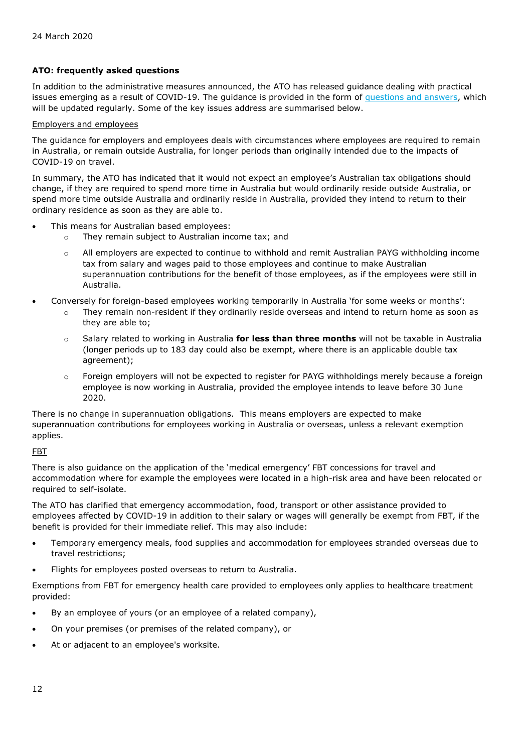#### **ATO: frequently asked questions**

In addition to the administrative measures announced, the ATO has released guidance dealing with practical issues emerging as a result of COVID-19. The guidance is provided in the form of [questions and answers,](https://www.ato.gov.au/Individuals/Dealing-with-disasters/In-detail/Specific-disasters/COVID-19/?page=2#COVID_19_frequently_asked_questions?utm_campaign=businessbulletins18Mar20&utm_source=newsletter&utm_medium=email&utm_content=article1) which will be updated regularly. Some of the key issues address are summarised below.

#### Employers and employees

The guidance for employers and employees deals with circumstances where employees are required to remain in Australia, or remain outside Australia, for longer periods than originally intended due to the impacts of COVID-19 on travel.

In summary, the ATO has indicated that it would not expect an employee's Australian tax obligations should change, if they are required to spend more time in Australia but would ordinarily reside outside Australia, or spend more time outside Australia and ordinarily reside in Australia, provided they intend to return to their ordinary residence as soon as they are able to.

- This means for Australian based employees:
	- o They remain subject to Australian income tax; and
	- $\circ$  All employers are expected to continue to withhold and remit Australian PAYG withholding income tax from salary and wages paid to those employees and continue to make Australian superannuation contributions for the benefit of those employees, as if the employees were still in Australia.
- Conversely for foreign-based employees working temporarily in Australia 'for some weeks or months':
	- o They remain non-resident if they ordinarily reside overseas and intend to return home as soon as they are able to;
	- o Salary related to working in Australia **for less than three months** will not be taxable in Australia (longer periods up to 183 day could also be exempt, where there is an applicable double tax agreement);
	- o Foreign employers will not be expected to register for PAYG withholdings merely because a foreign employee is now working in Australia, provided the employee intends to leave before 30 June 2020.

There is no change in superannuation obligations. This means employers are expected to make superannuation contributions for employees working in Australia or overseas, unless a relevant exemption applies.

#### FBT

There is also guidance on the application of the 'medical emergency' FBT concessions for travel and accommodation where for example the employees were located in a high-risk area and have been relocated or required to self-isolate.

The ATO has clarified that emergency accommodation, food, transport or other assistance provided to employees affected by COVID-19 in addition to their salary or wages will generally be exempt from FBT, if the benefit is provided for their immediate relief. This may also include:

- Temporary emergency meals, food supplies and accommodation for employees stranded overseas due to travel restrictions;
- Flights for employees posted overseas to return to Australia.

Exemptions from FBT for emergency health care provided to employees only applies to healthcare treatment provided:

- By an employee of yours (or an employee of a related company),
- On your premises (or premises of the related company), or
- At or adjacent to an employee's worksite.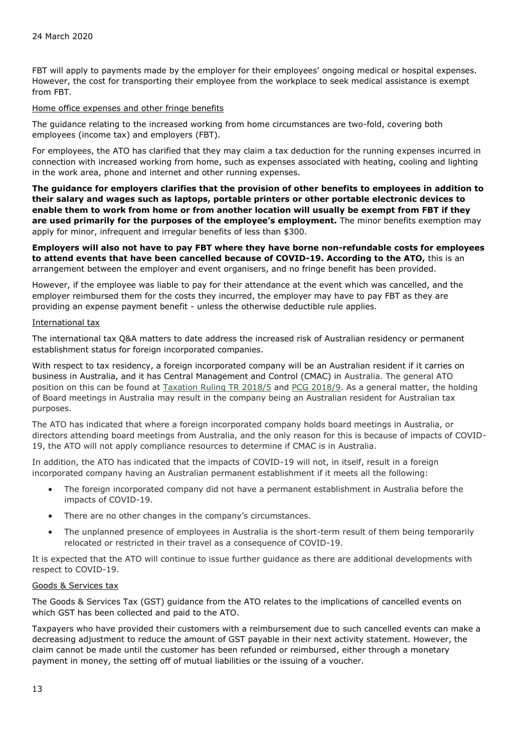FBT will apply to payments made by the employer for their employees' ongoing medical or hospital expenses. However, the cost for transporting their employee from the workplace to seek medical assistance is exempt from FBT.

#### Home office expenses and other fringe benefits

The guidance relating to the increased working from home circumstances are two-fold, covering both employees (income tax) and employers (FBT).

For employees, the ATO has clarified that they may claim a tax deduction for the running expenses incurred in connection with increased working from home, such as expenses associated with heating, cooling and lighting in the work area, phone and internet and other running expenses.

**The guidance for employers clarifies that the provision of other benefits to employees in addition to their salary and wages such as laptops, portable printers or other portable electronic devices to enable them to work from home or from another location will usually be exempt from FBT if they are used primarily for the purposes of the employee's employment.** The minor benefits exemption may apply for minor, infrequent and irregular benefits of less than \$300.

**Employers will also not have to pay FBT where they have borne non-refundable costs for employees to attend events that have been cancelled because of COVID-19. According to the ATO,** this is an arrangement between the employer and event organisers, and no fringe benefit has been provided.

However, if the employee was liable to pay for their attendance at the event which was cancelled, and the employer reimbursed them for the costs they incurred, the employer may have to pay FBT as they are providing an expense payment benefit - unless the otherwise deductible rule applies.

#### International tax

The international tax Q&A matters to date address the increased risk of Australian residency or permanent establishment status for foreign incorporated companies.

With respect to tax residency, a foreign incorporated company will be an Australian resident if it carries on business in Australia, and it has Central Management and Control (CMAC) in Australia. The general ATO position on this can be found at [Taxation Ruling TR 2018/5](https://www.ato.gov.au/law/view/document?docid=TXR/TR20185/NAT/ATO/00001) and [PCG 2018/9.](https://www.ato.gov.au/law/view/document?DocID=COG/PCG20189/NAT/ATO/00001) As a general matter, the holding of Board meetings in Australia may result in the company being an Australian resident for Australian tax purposes.

The ATO has indicated that where a foreign incorporated company holds board meetings in Australia, or directors attending board meetings from Australia, and the only reason for this is because of impacts of COVID-19, the ATO will not apply compliance resources to determine if CMAC is in Australia.

In addition, the ATO has indicated that the impacts of COVID-19 will not, in itself, result in a foreign incorporated company having an Australian permanent establishment if it meets all the following:

- The foreign incorporated company did not have a permanent establishment in Australia before the impacts of COVID-19.
- There are no other changes in the company's circumstances.
- The unplanned presence of employees in Australia is the short-term result of them being temporarily relocated or restricted in their travel as a consequence of COVID-19.

It is expected that the ATO will continue to issue further guidance as there are additional developments with respect to COVID-19.

#### Goods & Services tax

The Goods & Services Tax (GST) guidance from the ATO relates to the implications of cancelled events on which GST has been collected and paid to the ATO.

Taxpayers who have provided their customers with a reimbursement due to such cancelled events can make a decreasing adjustment to reduce the amount of GST payable in their next activity statement. However, the claim cannot be made until the customer has been refunded or reimbursed, either through a monetary payment in money, the setting off of mutual liabilities or the issuing of a voucher.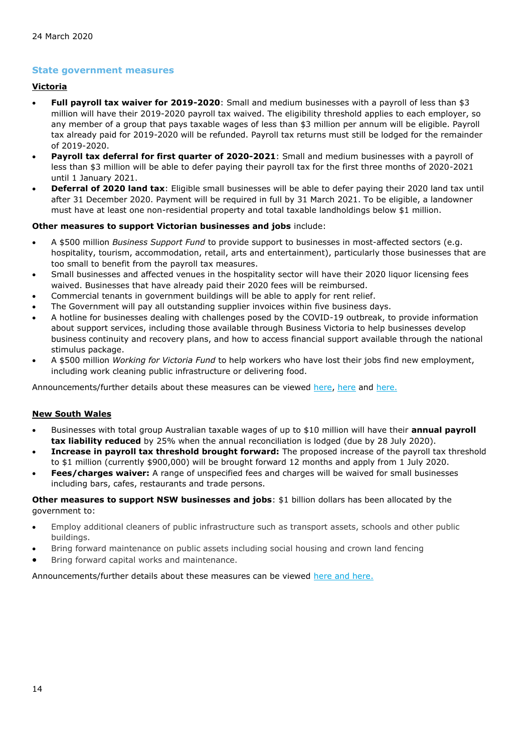#### **State government measures**

#### **Victoria**

- **Full payroll tax waiver for 2019-2020**: Small and medium businesses with a payroll of less than \$3 million will have their 2019-2020 payroll tax waived. The eligibility threshold applies to each employer, so any member of a group that pays taxable wages of less than \$3 million per annum will be eligible. Payroll tax already paid for 2019-2020 will be refunded. Payroll tax returns must still be lodged for the remainder of 2019-2020.
- **Payroll tax deferral for first quarter of 2020-2021**: Small and medium businesses with a payroll of less than \$3 million will be able to defer paying their payroll tax for the first three months of 2020-2021 until 1 January 2021.
- **Deferral of 2020 land tax**: Eligible small businesses will be able to defer paying their 2020 land tax until after 31 December 2020. Payment will be required in full by 31 March 2021. To be eligible, a landowner must have at least one non-residential property and total taxable landholdings below \$1 million.

#### **Other measures to support Victorian businesses and jobs** include:

- A \$500 million *Business Support Fund* to provide support to businesses in most-affected sectors (e.g. hospitality, tourism, accommodation, retail, arts and entertainment), particularly those businesses that are too small to benefit from the payroll tax measures.
- Small businesses and affected venues in the hospitality sector will have their 2020 liquor licensing fees waived. Businesses that have already paid their 2020 fees will be reimbursed.
- Commercial tenants in government buildings will be able to apply for rent relief.
- The Government will pay all outstanding supplier invoices within five business days.
- A hotline for businesses dealing with challenges posed by the COVID-19 outbreak, to provide information about support services, including those available through Business Victoria to help businesses develop business continuity and recovery plans, and how to access financial support available through the national stimulus package.
- A \$500 million *Working for Victoria Fund* to help workers who have lost their jobs find new employment, including work cleaning public infrastructure or delivering food.

Announcements/further details about these measures can be viewed [here,](https://www.premier.vic.gov.au/economic-survival-package-to-support-businesses-and-jobs/) [here](https://www.sro.vic.gov.au/news/new-tax-measures-support-businesses) and [here.](https://www.premier.vic.gov.au/hotline-help-for-businesses-dealing-with-covid-19-impacts/)

#### **New South Wales**

- Businesses with total group Australian taxable wages of up to \$10 million will have their **annual payroll tax liability reduced** by 25% when the annual reconciliation is lodged (due by 28 July 2020).
- **Increase in payroll tax threshold brought forward:** The proposed increase of the payroll tax threshold to \$1 million (currently \$900,000) will be brought forward 12 months and apply from 1 July 2020.
- **Fees/charges waiver:** A range of unspecified fees and charges will be waived for small businesses including bars, cafes, restaurants and trade persons.

**Other measures to support NSW businesses and jobs**: \$1 billion dollars has been allocated by the government to:

- Employ additional cleaners of public infrastructure such as transport assets, schools and other public buildings.
- Bring forward maintenance on public assets including social housing and crown land fencing
- Bring forward capital works and maintenance.

Announcements/further details about these measures can be viewed [here](https://www.nsw.gov.au/your-government/the-premier/media-releases-from-the-premier/2-3-billion-health-boost-and-economic-stimulus/) and [here.](https://www.smallbusiness.nsw.gov.au/get-help/covid-19-coronavirus-information-small-business-owners)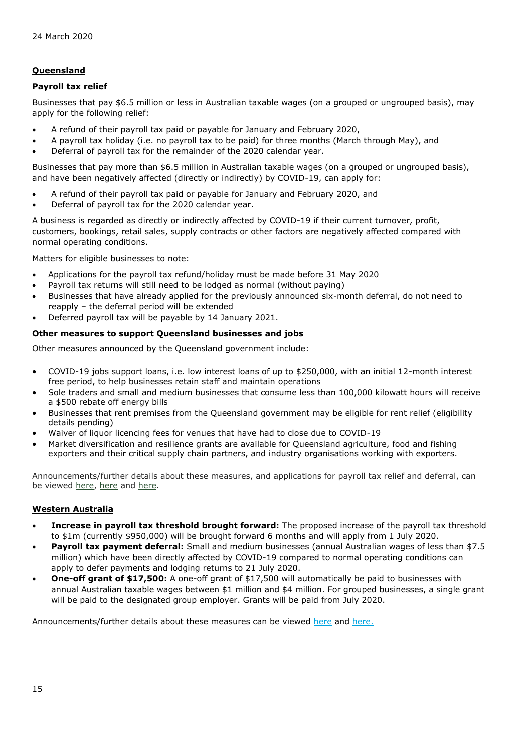#### **Queensland**

#### **Payroll tax relief**

Businesses that pay \$6.5 million or less in Australian taxable wages (on a grouped or ungrouped basis), may apply for the following relief:

- A refund of their payroll tax paid or payable for January and February 2020,
- A payroll tax holiday (i.e. no payroll tax to be paid) for three months (March through May), and
- Deferral of payroll tax for the remainder of the 2020 calendar year.

Businesses that pay more than \$6.5 million in Australian taxable wages (on a grouped or ungrouped basis), and have been negatively affected (directly or indirectly) by COVID-19, can apply for:

- A refund of their payroll tax paid or payable for January and February 2020, and
- Deferral of payroll tax for the 2020 calendar year.

A business is regarded as directly or indirectly affected by COVID-19 if their current turnover, profit, customers, bookings, retail sales, supply contracts or other factors are negatively affected compared with normal operating conditions.

Matters for eligible businesses to note:

- Applications for the payroll tax refund/holiday must be made before 31 May 2020
- Payroll tax returns will still need to be lodged as normal (without paying)
- Businesses that have already applied for the previously announced six-month deferral, do not need to reapply – the deferral period will be extended
- Deferred payroll tax will be payable by 14 January 2021.

#### **Other measures to support Queensland businesses and jobs**

Other measures announced by the Queensland government include:

- COVID-19 jobs support loans, i.e. low interest loans of up to \$250,000, with an initial 12-month interest free period, to help businesses retain staff and maintain operations
- Sole traders and small and medium businesses that consume less than 100,000 kilowatt hours will receive a \$500 rebate off energy bills
- Businesses that rent premises from the Queensland government may be eligible for rent relief (eligibility details pending)
- Waiver of liquor licencing fees for venues that have had to close due to COVID-19
- Market diversification and resilience grants are available for Queensland agriculture, food and fishing exporters and their critical supply chain partners, and industry organisations working with exporters.

Announcements/further details about these measures, and applications for payroll tax relief and deferral, can be viewed [here,](http://statements.qld.gov.au/Statement/2020/3/24/palaszczuk-government-unveils-4-billion-package-to-support-health-jobs-households-and-queensland-businesses) [here](https://www.business.qld.gov.au/running-business/employing/payroll-tax/lodging/coronavirus-tax-relief) and [here.](https://www.business.qld.gov.au/starting-business/advice-support/support/novel-coronavirus)

#### **Western Australia**

- **Increase in payroll tax threshold brought forward:** The proposed increase of the payroll tax threshold to \$1m (currently \$950,000) will be brought forward 6 months and will apply from 1 July 2020.
- **Payroll tax payment deferral:** Small and medium businesses (annual Australian wages of less than \$7.5 million) which have been directly affected by COVID-19 compared to normal operating conditions can apply to defer payments and lodging returns to 21 July 2020.
- **One-off grant of \$17,500:** A one-off grant of \$17,500 will automatically be paid to businesses with annual Australian taxable wages between \$1 million and \$4 million. For grouped businesses, a single grant will be paid to the designated group employer. Grants will be paid from July 2020.

Announcements/further details about these measures can be viewed [here](https://www.mediastatements.wa.gov.au/Pages/McGowan/2020/03/COVID-19-economic-response-Relief-for-businesses-and-households.aspx) and [here.](https://www.wa.gov.au/government/announcements/covid-19-payroll-tax-relief)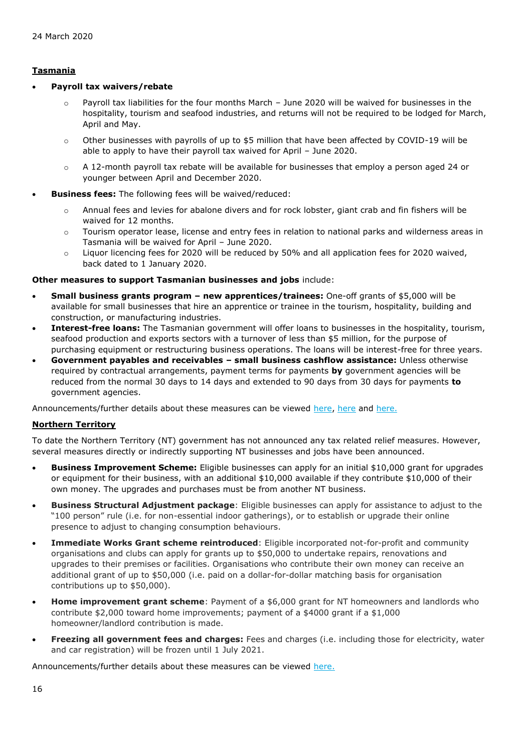### **Tasmania**

#### • **Payroll tax waivers/rebate**

- $\circ$  Payroll tax liabilities for the four months March June 2020 will be waived for businesses in the hospitality, tourism and seafood industries, and returns will not be required to be lodged for March, April and May.
- $\circ$  Other businesses with payrolls of up to \$5 million that have been affected by COVID-19 will be able to apply to have their payroll tax waived for April – June 2020.
- $\circ$  A 12-month payroll tax rebate will be available for businesses that employ a person aged 24 or younger between April and December 2020.
- **Business fees:** The following fees will be waived/reduced:
	- o Annual fees and levies for abalone divers and for rock lobster, giant crab and fin fishers will be waived for 12 months.
	- o Tourism operator lease, license and entry fees in relation to national parks and wilderness areas in Tasmania will be waived for April – June 2020.
	- $\circ$  Liguor licencing fees for 2020 will be reduced by 50% and all application fees for 2020 waived, back dated to 1 January 2020.

#### **Other measures to support Tasmanian businesses and jobs** include:

- **Small business grants program – new apprentices/trainees:** One-off grants of \$5,000 will be available for small businesses that hire an apprentice or trainee in the tourism, hospitality, building and construction, or manufacturing industries.
- **Interest-free loans:** The Tasmanian government will offer loans to businesses in the hospitality, tourism, seafood production and exports sectors with a turnover of less than \$5 million, for the purpose of purchasing equipment or restructuring business operations. The loans will be interest-free for three years.
- **Government payables and receivables – small business cashflow assistance:** Unless otherwise required by contractual arrangements, payment terms for payments **by** government agencies will be reduced from the normal 30 days to 14 days and extended to 90 days from 30 days for payments **to** government agencies.

Announcements/further details about these measures can be viewed [here,](http://www.premier.tas.gov.au/releases/ministerial_statement_covid-19_response_measures) [here](https://www.business.tas.gov.au/__data/assets/pdf_file/0006/226248/Stimulus_package_-_COVID-19_Fact_Sheet.pdf) and [here.](https://www.sro.tas.gov.au/Documents/Coronavirus%20payroll%20tax%20measures%20factsheet.pdf)

#### **Northern Territory**

To date the Northern Territory (NT) government has not announced any tax related relief measures. However, several measures directly or indirectly supporting NT businesses and jobs have been announced.

- **Business Improvement Scheme:** Eligible businesses can apply for an initial \$10,000 grant for upgrades or equipment for their business, with an additional \$10,000 available if they contribute \$10,000 of their own money. The upgrades and purchases must be from another NT business.
- **Business Structural Adjustment package**: Eligible businesses can apply for assistance to adjust to the "100 person" rule (i.e. for non-essential indoor gatherings), or to establish or upgrade their online presence to adjust to changing consumption behaviours.
- **Immediate Works Grant scheme reintroduced**: Eligible incorporated not-for-profit and community organisations and clubs can apply for grants up to \$50,000 to undertake repairs, renovations and upgrades to their premises or facilities. Organisations who contribute their own money can receive an additional grant of up to \$50,000 (i.e. paid on a dollar-for-dollar matching basis for organisation contributions up to \$50,000).
- **Home improvement grant scheme**: Payment of a \$6,000 grant for NT homeowners and landlords who contribute \$2,000 toward home improvements; payment of a \$4000 grant if a \$1,000 homeowner/landlord contribution is made.
- **Freezing all government fees and charges:** Fees and charges (i.e. including those for electricity, water and car registration) will be frozen until 1 July 2021.

Announcements/further details about these measures can be viewed [here.](http://newsroom.nt.gov.au/mediaRelease/32101)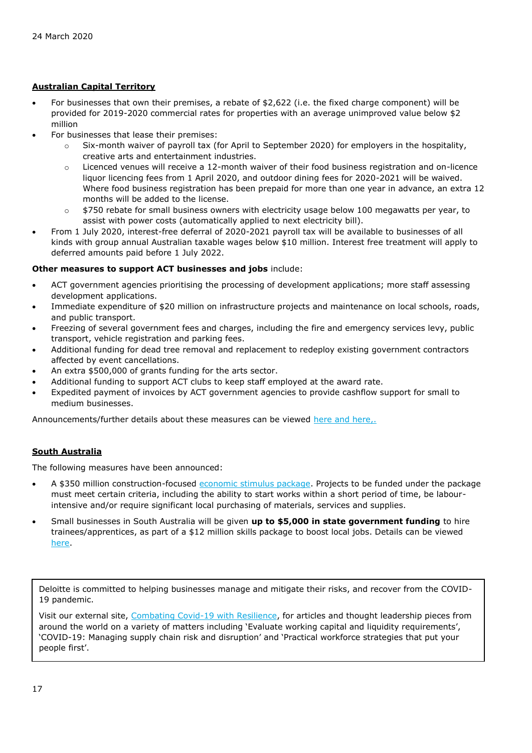### **Australian Capital Territory**

- For businesses that own their premises, a rebate of \$2,622 (i.e. the fixed charge component) will be provided for 2019-2020 commercial rates for properties with an average unimproved value below \$2 million
- For businesses that lease their premises:
	- $\circ$  Six-month waiver of payroll tax (for April to September 2020) for employers in the hospitality, creative arts and entertainment industries.
	- $\circ$  Licenced venues will receive a 12-month waiver of their food business registration and on-licence liquor licencing fees from 1 April 2020, and outdoor dining fees for 2020-2021 will be waived. Where food business registration has been prepaid for more than one year in advance, an extra 12 months will be added to the license.
	- $\circ$  \$750 rebate for small business owners with electricity usage below 100 megawatts per year, to assist with power costs (automatically applied to next electricity bill).
- From 1 July 2020, interest-free deferral of 2020-2021 payroll tax will be available to businesses of all kinds with group annual Australian taxable wages below \$10 million. Interest free treatment will apply to deferred amounts paid before 1 July 2022.

#### **Other measures to support ACT businesses and jobs** include:

- ACT government agencies prioritising the processing of development applications; more staff assessing development applications.
- Immediate expenditure of \$20 million on infrastructure projects and maintenance on local schools, roads, and public transport.
- Freezing of several government fees and charges, including the fire and emergency services levy, public transport, vehicle registration and parking fees.
- Additional funding for dead tree removal and replacement to redeploy existing government contractors affected by event cancellations.
- An extra \$500,000 of grants funding for the arts sector.
- Additional funding to support ACT clubs to keep staff employed at the award rate.
- Expedited payment of invoices by ACT government agencies to provide cashflow support for small to medium businesses.

Announcements/further details about these measures can be viewed [here](https://www.cmtedd.act.gov.au/open_government/inform/act_government_media_releases/barr/2020/initial-economic-survival-package-to-support-territory-economy) and [here,](https://apps.treasury.act.gov.au/budget/covid-19-economic-survival-package/local-business-and-industry).

#### **South Australia**

The following measures have been announced:

- A \$350 million construction-focused [economic stimulus package.](https://www.premier.sa.gov.au/news/media-releases/news/unprecedented-response-and-economic-stimulus-to-drive-sa-jobs,-economy-in-wake-of-bushfires,-coronavirus2) Projects to be funded under the package must meet certain criteria, including the ability to start works within a short period of time, be labourintensive and/or require significant local purchasing of materials, services and supplies.
- Small businesses in South Australia will be given **up to \$5,000 in state government funding** to hire trainees/apprentices, as part of a \$12 million skills package to boost local jobs. Details can be viewed [here.](https://www.premier.sa.gov.au/news/media-releases/news/funding-boost-for-businesses-to-continue-skills-training-in-challenging-times)

Deloitte is committed to helping businesses manage and mitigate their risks, and recover from the COVID-19 pandemic.

Visit our external site, [Combating Covid-19 with Resilience,](https://www2.deloitte.com/global/en/pages/about-deloitte/topics/combating-covid-19-with-resilience.html) for articles and thought leadership pieces from around the world on a variety of matters including 'Evaluate working capital and liquidity requirements', 'COVID-19: Managing supply chain risk and disruption' and 'Practical workforce strategies that put your people first'.